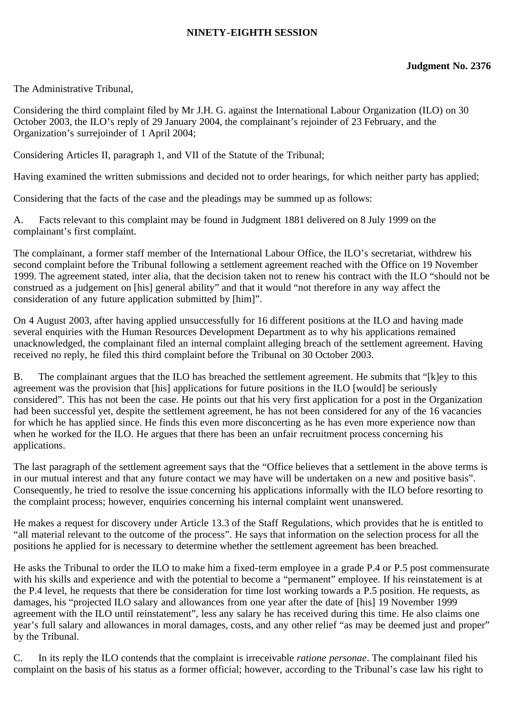## **NINETY-EIGHTH SESSION**

The Administrative Tribunal,

Considering the third complaint filed by Mr J.H. G. against the International Labour Organization (ILO) on 30 October 2003, the ILO's reply of 29 January 2004, the complainant's rejoinder of 23 February, and the Organization's surrejoinder of 1 April 2004;

Considering Articles II, paragraph 1, and VII of the Statute of the Tribunal;

Having examined the written submissions and decided not to order hearings, for which neither party has applied;

Considering that the facts of the case and the pleadings may be summed up as follows:

A. Facts relevant to this complaint may be found in Judgment 1881 delivered on 8 July 1999 on the complainant's first complaint.

The complainant, a former staff member of the International Labour Office, the ILO's secretariat, withdrew his second complaint before the Tribunal following a settlement agreement reached with the Office on 19 November 1999. The agreement stated, inter alia, that the decision taken not to renew his contract with the ILO "should not be construed as a judgement on [his] general ability" and that it would "not therefore in any way affect the consideration of any future application submitted by [him]".

On 4 August 2003, after having applied unsuccessfully for 16 different positions at the ILO and having made several enquiries with the Human Resources Development Department as to why his applications remained unacknowledged, the complainant filed an internal complaint alleging breach of the settlement agreement. Having received no reply, he filed this third complaint before the Tribunal on 30 October 2003.

B. The complainant argues that the ILO has breached the settlement agreement. He submits that "[k]ey to this agreement was the provision that [his] applications for future positions in the ILO [would] be seriously considered". This has not been the case. He points out that his very first application for a post in the Organization had been successful yet, despite the settlement agreement, he has not been considered for any of the 16 vacancies for which he has applied since. He finds this even more disconcerting as he has even more experience now than when he worked for the ILO. He argues that there has been an unfair recruitment process concerning his applications.

The last paragraph of the settlement agreement says that the "Office believes that a settlement in the above terms is in our mutual interest and that any future contact we may have will be undertaken on a new and positive basis". Consequently, he tried to resolve the issue concerning his applications informally with the ILO before resorting to the complaint process; however, enquiries concerning his internal complaint went unanswered.

He makes a request for discovery under Article 13.3 of the Staff Regulations, which provides that he is entitled to "all material relevant to the outcome of the process". He says that information on the selection process for all the positions he applied for is necessary to determine whether the settlement agreement has been breached.

He asks the Tribunal to order the ILO to make him a fixed-term employee in a grade P.4 or P.5 post commensurate with his skills and experience and with the potential to become a "permanent" employee. If his reinstatement is at the P.4 level, he requests that there be consideration for time lost working towards a P.5 position. He requests, as damages, his "projected ILO salary and allowances from one year after the date of [his] 19 November 1999 agreement with the ILO until reinstatement", less any salary he has received during this time. He also claims one year's full salary and allowances in moral damages, costs, and any other relief "as may be deemed just and proper" by the Tribunal.

C. In its reply the ILO contends that the complaint is irreceivable *ratione personae*. The complainant filed his complaint on the basis of his status as a former official; however, according to the Tribunal's case law his right to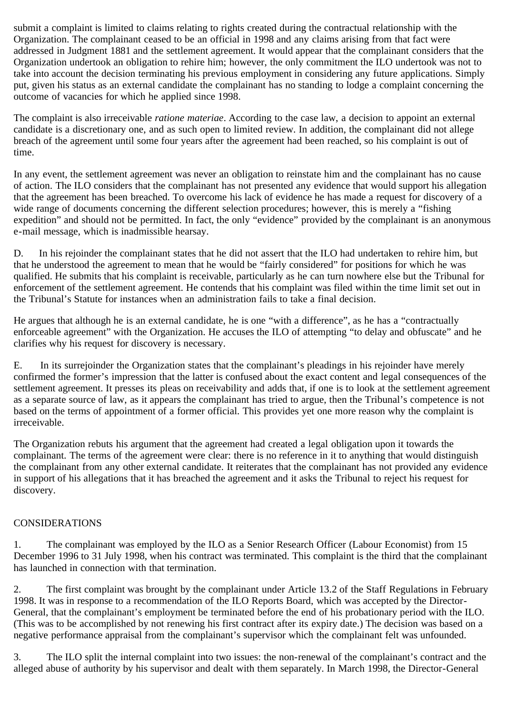submit a complaint is limited to claims relating to rights created during the contractual relationship with the Organization. The complainant ceased to be an official in 1998 and any claims arising from that fact were addressed in Judgment 1881 and the settlement agreement. It would appear that the complainant considers that the Organization undertook an obligation to rehire him; however, the only commitment the ILO undertook was not to take into account the decision terminating his previous employment in considering any future applications. Simply put, given his status as an external candidate the complainant has no standing to lodge a complaint concerning the outcome of vacancies for which he applied since 1998.

The complaint is also irreceivable *ratione materiae*. According to the case law, a decision to appoint an external candidate is a discretionary one, and as such open to limited review. In addition, the complainant did not allege breach of the agreement until some four years after the agreement had been reached, so his complaint is out of time.

In any event, the settlement agreement was never an obligation to reinstate him and the complainant has no cause of action. The ILO considers that the complainant has not presented any evidence that would support his allegation that the agreement has been breached. To overcome his lack of evidence he has made a request for discovery of a wide range of documents concerning the different selection procedures; however, this is merely a "fishing expedition" and should not be permitted. In fact, the only "evidence" provided by the complainant is an anonymous e-mail message, which is inadmissible hearsay.

D. In his rejoinder the complainant states that he did not assert that the ILO had undertaken to rehire him, but that he understood the agreement to mean that he would be "fairly considered" for positions for which he was qualified. He submits that his complaint is receivable, particularly as he can turn nowhere else but the Tribunal for enforcement of the settlement agreement. He contends that his complaint was filed within the time limit set out in the Tribunal's Statute for instances when an administration fails to take a final decision.

He argues that although he is an external candidate, he is one "with a difference", as he has a "contractually enforceable agreement" with the Organization. He accuses the ILO of attempting "to delay and obfuscate" and he clarifies why his request for discovery is necessary.

E. In its surrejoinder the Organization states that the complainant's pleadings in his rejoinder have merely confirmed the former's impression that the latter is confused about the exact content and legal consequences of the settlement agreement. It presses its pleas on receivability and adds that, if one is to look at the settlement agreement as a separate source of law, as it appears the complainant has tried to argue, then the Tribunal's competence is not based on the terms of appointment of a former official. This provides yet one more reason why the complaint is irreceivable.

The Organization rebuts his argument that the agreement had created a legal obligation upon it towards the complainant. The terms of the agreement were clear: there is no reference in it to anything that would distinguish the complainant from any other external candidate. It reiterates that the complainant has not provided any evidence in support of his allegations that it has breached the agreement and it asks the Tribunal to reject his request for discovery.

## CONSIDERATIONS

1. The complainant was employed by the ILO as a Senior Research Officer (Labour Economist) from 15 December 1996 to 31 July 1998, when his contract was terminated. This complaint is the third that the complainant has launched in connection with that termination.

2. The first complaint was brought by the complainant under Article 13.2 of the Staff Regulations in February 1998. It was in response to a recommendation of the ILO Reports Board, which was accepted by the Director-General, that the complainant's employment be terminated before the end of his probationary period with the ILO. (This was to be accomplished by not renewing his first contract after its expiry date.) The decision was based on a negative performance appraisal from the complainant's supervisor which the complainant felt was unfounded.

3. The ILO split the internal complaint into two issues: the non-renewal of the complainant's contract and the alleged abuse of authority by his supervisor and dealt with them separately. In March 1998, the Director-General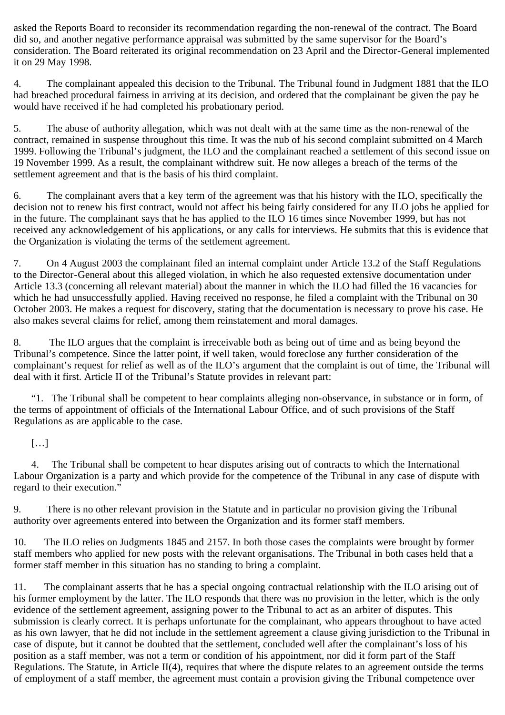asked the Reports Board to reconsider its recommendation regarding the non-renewal of the contract. The Board did so, and another negative performance appraisal was submitted by the same supervisor for the Board's consideration. The Board reiterated its original recommendation on 23 April and the Director-General implemented it on 29 May 1998.

4. The complainant appealed this decision to the Tribunal. The Tribunal found in Judgment 1881 that the ILO had breached procedural fairness in arriving at its decision, and ordered that the complainant be given the pay he would have received if he had completed his probationary period.

5. The abuse of authority allegation, which was not dealt with at the same time as the non-renewal of the contract, remained in suspense throughout this time. It was the nub of his second complaint submitted on 4 March 1999. Following the Tribunal's judgment, the ILO and the complainant reached a settlement of this second issue on 19 November 1999. As a result, the complainant withdrew suit. He now alleges a breach of the terms of the settlement agreement and that is the basis of his third complaint.

6. The complainant avers that a key term of the agreement was that his history with the ILO, specifically the decision not to renew his first contract, would not affect his being fairly considered for any ILO jobs he applied for in the future. The complainant says that he has applied to the ILO 16 times since November 1999, but has not received any acknowledgement of his applications, or any calls for interviews. He submits that this is evidence that the Organization is violating the terms of the settlement agreement.

7. On 4 August 2003 the complainant filed an internal complaint under Article 13.2 of the Staff Regulations to the Director-General about this alleged violation, in which he also requested extensive documentation under Article 13.3 (concerning all relevant material) about the manner in which the ILO had filled the 16 vacancies for which he had unsuccessfully applied. Having received no response, he filed a complaint with the Tribunal on 30 October 2003. He makes a request for discovery, stating that the documentation is necessary to prove his case. He also makes several claims for relief, among them reinstatement and moral damages.

8. The ILO argues that the complaint is irreceivable both as being out of time and as being beyond the Tribunal's competence. Since the latter point, if well taken, would foreclose any further consideration of the complainant's request for relief as well as of the ILO's argument that the complaint is out of time, the Tribunal will deal with it first. Article II of the Tribunal's Statute provides in relevant part:

 "1. The Tribunal shall be competent to hear complaints alleging non-observance, in substance or in form, of the terms of appointment of officials of the International Labour Office, and of such provisions of the Staff Regulations as are applicable to the case.

 $[\ldots]$ 

 4. The Tribunal shall be competent to hear disputes arising out of contracts to which the International Labour Organization is a party and which provide for the competence of the Tribunal in any case of dispute with regard to their execution."

9. There is no other relevant provision in the Statute and in particular no provision giving the Tribunal authority over agreements entered into between the Organization and its former staff members.

10. The ILO relies on Judgments 1845 and 2157. In both those cases the complaints were brought by former staff members who applied for new posts with the relevant organisations. The Tribunal in both cases held that a former staff member in this situation has no standing to bring a complaint.

11. The complainant asserts that he has a special ongoing contractual relationship with the ILO arising out of his former employment by the latter. The ILO responds that there was no provision in the letter, which is the only evidence of the settlement agreement, assigning power to the Tribunal to act as an arbiter of disputes. This submission is clearly correct. It is perhaps unfortunate for the complainant, who appears throughout to have acted as his own lawyer, that he did not include in the settlement agreement a clause giving jurisdiction to the Tribunal in case of dispute, but it cannot be doubted that the settlement, concluded well after the complainant's loss of his position as a staff member, was not a term or condition of his appointment, nor did it form part of the Staff Regulations. The Statute, in Article II(4), requires that where the dispute relates to an agreement outside the terms of employment of a staff member, the agreement must contain a provision giving the Tribunal competence over